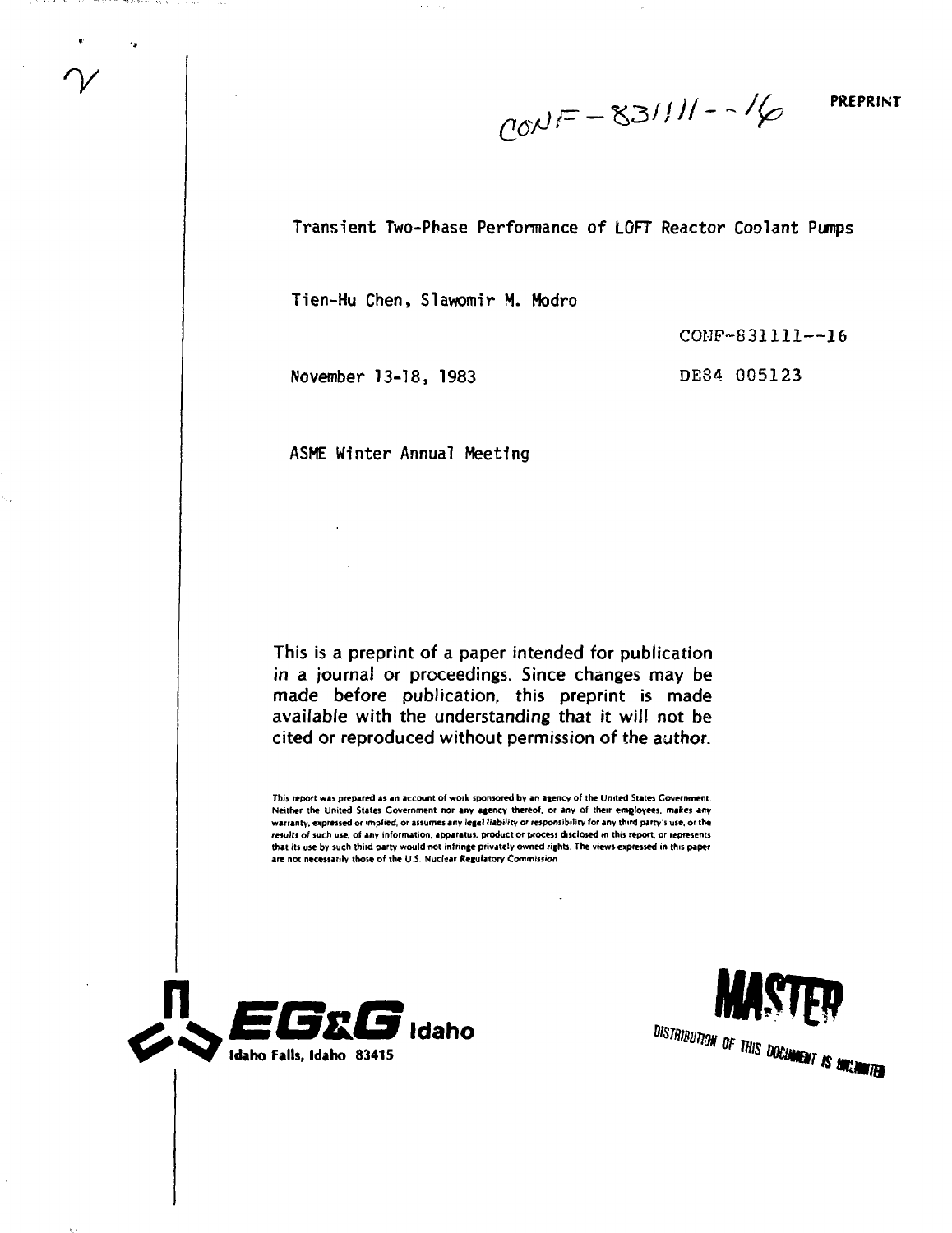$CONF - 831111 - 16$ 

**PREPRINT**

Transient Two-Phase Performance of LOFT Reactor Coolant Pumps

Tien-Hu Chen, Slawomir M. Modro

COMP-831111—16

November 13-18, 1983

DE84 005123

ASME Winter Annual Meeting

This is a preprint of a paper intended for publication in a journal or proceedings. Since changes may be made before publication, this preprint is made available with the understanding that it will not be cited or reproduced without permission of the author.

**This report was prepared as an account of work sponsored by an agency of the United States Covernment Neither the United States Covernment nor any agency thereof, or any of their employees, makes any warranty, expressed or implied, or assumes any legal I (ability or responsibility for any third party's use, or the results of such use, of any information, apparatus, product or process disclosed m this report, or represents that its use by such third party would not infringe privately owned rights. The views expressed in this paper are not necessarily those of the U S. Nuclear Regulatory Commission**





the committee of the committee of

٠.

i Anny Consolida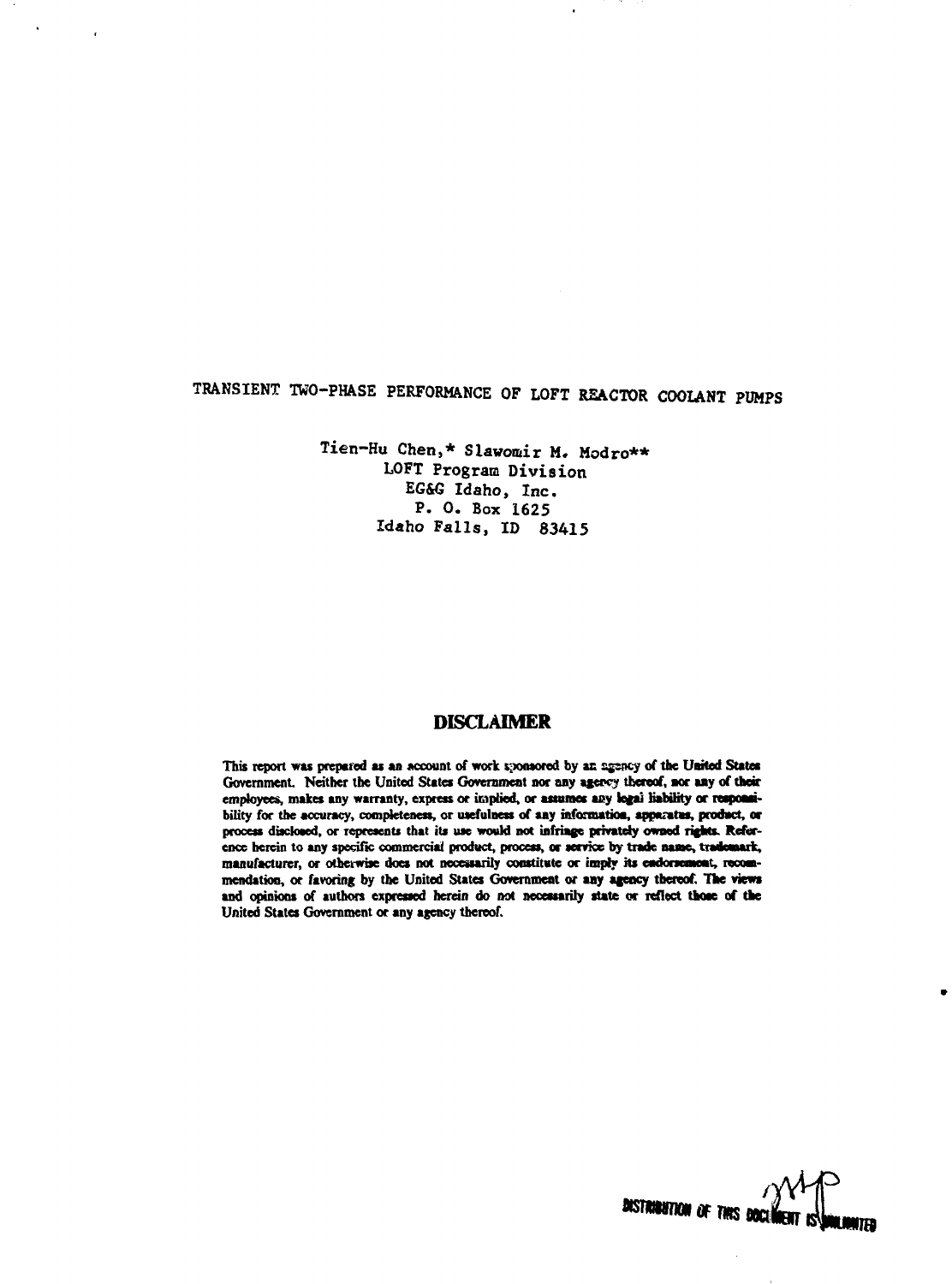# **TRANSIENT TWO-PHASE PERFORMANCE OF LOFT REACTOR COOLANT PUMPS**

 $\mathbf{r}$ 

 $\cdot$ 

**Tien-Hu Chen,\* Slawomir M. Modro\*\* LOFT Program Division EG&G Idaho, Inc . P. 0 . Box 1625 Idaho Falls, ID 83415**

# **DISCLAIMER**

This report was prepared as an account of work sponsored by an agency of the United States Government. Neither the United States Government nor any agency thereof, nor any of their employees, makes any warranty, express or implied, or assumes any legai liability or responsi**bility for the accuracy, completeness, or usefulness of aay information, apparatus, pradact, or process disclosed, or represents that its use would not infringe privately owned rights. Reference herein to any specific commercial product, process, or service by trade name, tradewark, manufacturer, or otherwise does not necessarily constitute or imply its endorsement, recommendation, or favoring by the United States Government or any agency thereof. The views and opinions of authors expressed herein do not necessarily state or reflect those of the United States Government or any agency thereof.**

**/** *mm*wp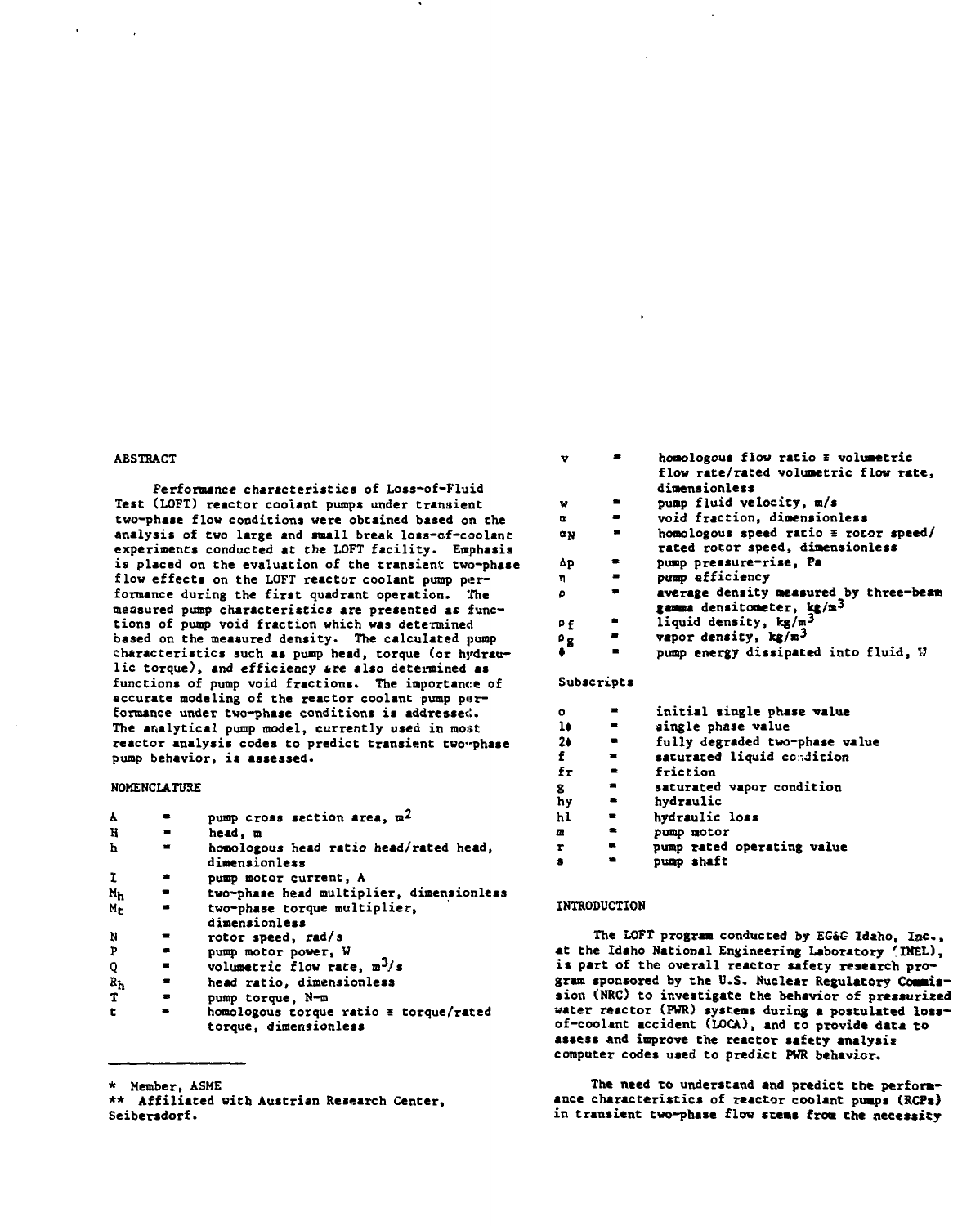#### **ABSTRACT**

**Performance characteristics of Loss-of-Fluid Test (LOFT) reactor coolant pumps under transient two-phase flow conditions were obtained based on the analysis of two large and snail break loss-of-coolant experiments conducted at the LOFT facility. Emphasis is placed on the evaluation of the transient two-phase flow effects on the LOFT reactor coolant pump performance during the first quadrant operation. The measured pump characteristics are presented as functions of pump void fraction which was determined based on the measured density. The calculated pump characteristics such as pump head, torque (or hydraulic torque), and efficiency are also determined as functions of pump void fractions. The importance of accurate modeling of the reactor coolant pump performance under two-phase conditions is addressee!. The analytical pump model, currently used in most reactor analysis codes to predict transient two-phase pump behavior, is assessed.**

## **NOMENCLATURE**

| A                         |                | pump cross section area, $m^2$                                  |  |
|---------------------------|----------------|-----------------------------------------------------------------|--|
| H                         | $\blacksquare$ | head. m                                                         |  |
| ħ                         | $\blacksquare$ | homologous head ratio head/rated head,<br>dimensionless         |  |
| 1                         |                | pump motor current, A                                           |  |
| Mh                        | ۰              | two-phase head multiplier, dimensionless                        |  |
| Me                        |                | two-phase torque multiplier,<br>dimensionless                   |  |
| N                         |                | rotor speed, rad/s                                              |  |
| Þ                         |                | pump motor power, W                                             |  |
| Q                         | $\blacksquare$ | volumetric flow rate, $m^3/s$                                   |  |
| $\mathbf{R}_{\mathbf{h}}$ | $\blacksquare$ | head ratio, dimensionless                                       |  |
| T                         | $\blacksquare$ | pump torque, N-m                                                |  |
| t                         |                | homologous torque ratio = torque/rated<br>torque, dimensionless |  |

| v                 |   | homologous flow ratio = volumetric                                               |  |
|-------------------|---|----------------------------------------------------------------------------------|--|
|                   |   | flow rate/rated volumetric flow rate,                                            |  |
|                   |   | dimensionless                                                                    |  |
| v                 |   | pump fluid velocity, m/s                                                         |  |
| œ                 |   | void fraction, dimensionless                                                     |  |
| αŅ                |   | homologous speed ratio $\equiv$ rotor speed/<br>rated rotor speed, dimensionless |  |
| Δp                |   | pump pressure-rise, Pa                                                           |  |
| п                 | ≖ | pump efficiency                                                                  |  |
| ٥                 | - | average density measured by three-beam<br>gamma densitometer, kg/m <sup>3</sup>  |  |
| ρ£                |   | liquid density, kg/m <sup>3</sup>                                                |  |
| $\cdot^{\circ}$ 8 |   | vapor density, kg/m <sup>3</sup>                                                 |  |
|                   |   | pump energy dissipated into fluid, N                                             |  |
|                   |   |                                                                                  |  |

#### **Subscripts**

| ۰  |           | initial single phase value     |  |
|----|-----------|--------------------------------|--|
| 10 |           | single phase value             |  |
| 24 |           | fully degraded two-phase value |  |
| f  | ▄         | saturated liquid condition     |  |
| fτ |           | friction                       |  |
| g  | ٠         | saturated vapor condition      |  |
| hγ |           | hydraulic                      |  |
| hl |           | hydraulic loss                 |  |
| Œ  | $\bullet$ | pump motor                     |  |
| r  |           | pump rated operating value     |  |
| s  |           | pump shaft                     |  |

#### **INTRODUCTION**

**The LOFT program conducted by EG&G Idaho, Isc., \*t the Idaho National Engineering Laboratory 'IHEL), is part of the overall reactor safety research program sponsored by the U.S. Nuclear Regulatory Commission (NRC) to investigate the behavior of pressurized water reactor (PWR) systems during a postulated lossof-cooltnt accident (LOCA), and to provide data to assess and improve the reactor safety analysis computer codes used to predict PWR behavior.**

**The need to understand and predict the perform**ance characteristics of reactor coolant pumps (RCP\*) **in transient two-phase flow stems from the necessity**

**<sup>\*</sup> Member, ASME**

**<sup>\*\*</sup> Affiliated with Austrian Research Center, Seibersdorf.**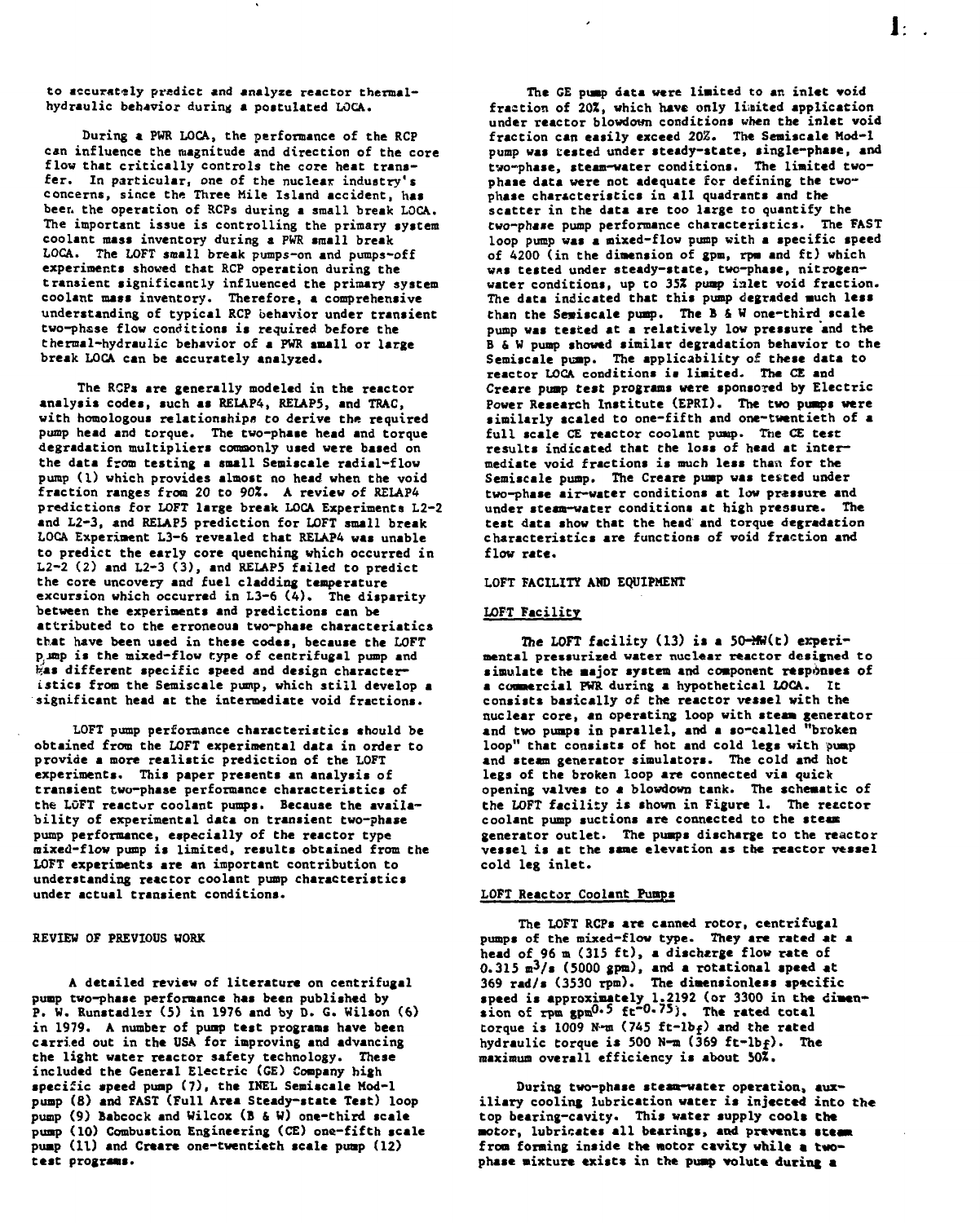**to accurately predict and analyze reactor thermalhydraulic behavior during a poctulated LOCA.**

**During a PWR LOCA, the performance of the RCP can influence the magnitude and direction of the core flow that critically controls the core heat transfer. In particular, one of the nuclear industry's concerns, since the Three Mile Island accident, has beer, the operation of RCPs during a small break LOCA. The important issue is controlling the primary system coolant mass inventory during a PWR small break LOCA. The LOFT small break pumps-on and pumps-off experiments showed that RCP operation during the transient significantly influenced the primary system coolant mass inventory. Therefore, a comprehensive understanding of typical RCP behavior under transient two-phase flow conditions is required before the thermal-hydraulic behavior of a PWR small or large break LOCA can be accurately analyzed.**

**The RCPs are generally modeled in the reactor analysis codes, such as RELAP4, RE1AP5, and TRAC, with homologous relationships to derive the required pump head and torque. The two-phase head and torque degradation multipliers commonly used were based on the data from testing a small Semiscale radial-flow pump (1) which provides almost no head when the void fraction ranges from 20 to 90J. A review of RE1AP4 predictions for LOFT large break LOCA Experiments L2-2 and L2-3, and RELAP5 prediction for LOFT small break LOCA Experiment L3-6 revealed that RELAP4 was unable to predict the early core quenching which occurred in L2-2 (2) and L2-3 (3), and RELAP5 failed to predict the core uncovery and fuel cladding temperature excursion which occurred in L3-6 (4). The disparity between the experiments and predictions can be attributed to the erroneous two-phase characteristics that have been used in these codes, because the LOFT p.jnip is the mixed-flow type of centrifugal pump and**  $\frac{1}{2}$  different specific speed and design character**istics from the Semiscale pump, which still develop a significant head at the intermediate void fractions.**

**LOFT pump performance characteristics should be obtained from the LOFT experimental data in order to provide a more realistic prediction of the LOFT experiments. This paper presents an analysis of transient two-phase performance characteristics of the LOFT reactur coolant pumps. Because the availability of experimental data on transient two-phase pump performance, especially of the reactor type mixed-flow pump is limited, results obtained from the LOFT experiments are an important contribution to understanding reactor coolant pump characteristics under actual transient conditions.**

### **REVIEW OF PREVIOUS WORK**

**A detailed review of literature on centrifugal pump two-phase performance has been published by P. W. Runstadlsr (5) in 1976 and by D. G. Wilson (6) in 1979. A number of pump test programs have been carried out in the USA for improving and advancing the light water reactor safety technology. These included the General Electric (CE) Company high specific speed pump (7). the INEL Semiscale Hod-1 pump (S) and FAST (Full Area Steady-state Test) loop pump (9) Babcock and Wilcox (B & W) one-third scale pump (10) Combustion Engineering (CE) one-fifth scale pump (11) and Creare one-twentieth scale pump (12) test programs.**

**The GE pump data were limited to an inlet void fraction of 20Z, which have only limited application under reactor blowdown conditions when the inlet void fraction can easily exceed 202. The Semiscale Mod-1 pump was tested under steady-state, single-phase, and two-phase, steam-water conditions. The limited twophase data were not adequate for defining the twophase characteristics in all quadrants and the scatter in the data are too large to quantify the two-phase pump performance characteristics. The FAST loop pump was a mixed-flow pump with a specific speed of 4200 (in the dimension of gpm, rpa and ft) which WAS tested under steady-state, two-phase, nitrogenwater conditions, up to 35J pump ialet void fraction. The data indicated that this pump degraded much less than the Sesiscale pump. The B & W one-third scale pump was tested at a relatively low pressure and the B & W pump showed similar degradation behavior to the Semiscale pump. The applicability of these data to reactor LOCA conditions is limited. The CE and Creare pump test programs were sponsored by Electric Power Research Institute (EPRI). The two pumps were similarly scaled to one-fifth and one-twentieth of a** full scale CE reactor coolant pump. The CE test **results indicated that the loss of head at inter**mediate void fractions is much less than for the **Semiscale pump. The Creare pump was tested under two-phase air-water conditions at low pressure and under steam-water conditions at high pressure. The test data show that the head and torque degradation characteristics are functions of void fraction and flow rate.**

 $1.1$ 

## **LOFT FACILITY AMD EQUIPMENT**

## **LOFT Facility**

**The LOFT facility (13) is a 50-MH(t) experimental pressurized water nuclear reactor designed to simulate the major system and component responses of a commercial PWR during a hypothetical LOCA. It consists basically of the reactor vessel with the nuclear core, an operating loop with steam generator and two pumps in parallel, and a so-called "broken loop" that consists of hot and cold legs with pump and steam generator simulators. The cold and hoc legs of the broken loop are connected via quick opening valves to a blowdown tank. The schematic of the LOFT facility is shown in Figure 1. The recctor coolant pump suctions are connected to the steam generator outlet. The pumps discharge to the reactor** vessel is at the same elevation as the reactor vessel **cold leg inlet.**

### **LOFT Reactor Coolant Pumps**

**The LOFT RCPs are canned rotor, centrifugal pumps of the mixed-flow type. They are rated at a head of 96 m (315 ft), a discharge flow rate of 0.315 m<sup>3</sup>/i (5000 gpm), and a rotational speed at 369 rad/s (3530 rpm). The dimensionless specific speed is approximately 1.2192 (or 3300 in the dimen-sion of rpm gpm<sup>0</sup>\*5 ft"<sup>0</sup> - 7 5 ). The rated total torque is 1009 K-m (745 ft-lbf) and the rated hydraulic torque is 500 N-a (369 ft-lbf). The maximum overall efficiency is about 50Z.**

**During two-phase steam-water operation, auxiliary cooling lubrication water is injected into the** top bearing-cavity. This water supply cools the motor, lubricates all bearings, and prevents steam **from forming inside the motor cavity while a two**phase mixture exists in the pump volute during a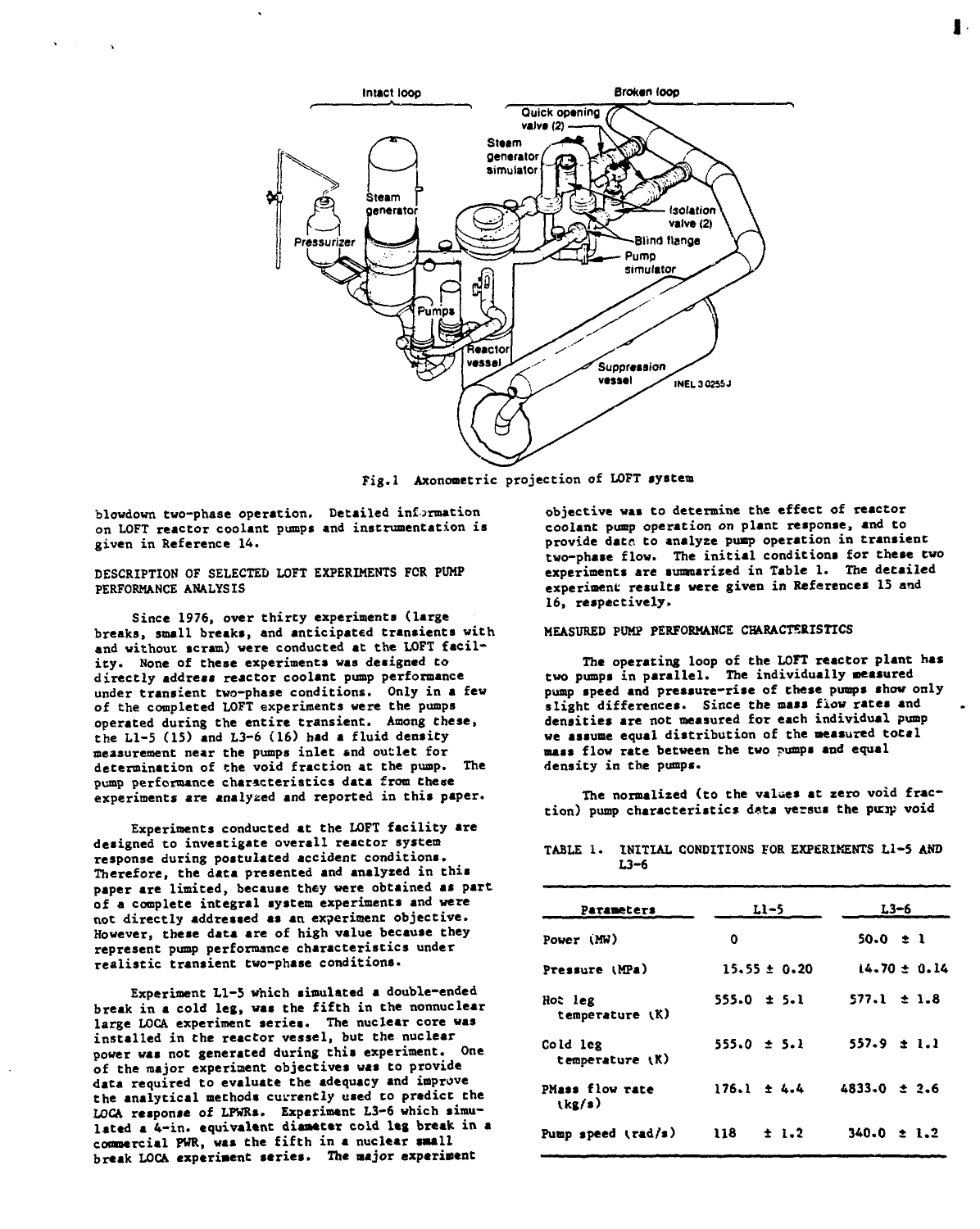

**Fig.l Axonometric projection of LOFT system**

**blowdown two-phase operation. Detailed information on LOFT reactor coolant pumps and instrumentation is given in Reference 14.**

**DESCRIPTION OF SELECTED LOFT EXPERIMENTS FOR PUMP PERFORMANCE ANALYSIS**

**Since 1976, over thirty experiments (large breaks, small breaks, and anticipated transients with** and without scram) were conducted at the LOFT facility. None of these experiments was designed to **directly address reactor coolant pump performance under transient two-phase conditions. Only in a few of the completed LOFT experiments were the pumps operated during the entire transient. Among these, the Ll-5 (15) and L3-6 (16) had a fluid density measurement near the pumps inlet end outlet for determination of the void fraction at the pump. The pump performance characteristics data from these experiments are analysed and reported in this paper.**

**Experiments conducted at the LOFT facility are designed to investigate overall reactor system response during postulated accident conditions. Therefore, the data presented and analyzed in this paper are limited, because they were obtained as part of a complete integral system experiments and were not directly addressed aa an experiment objective. However, these data are of high value because they represent pump performance characteristics under realistic transient two-phase conditions.**

**Experiment Ll-5 which simulated a double-ended break in a cold leg, was the fifth in the nonnuclear large LOCA experiment series. The nuclear core was installed in the reactor vessel, but the nuclear power was not generated during this experiment. One of the major experiment objectives was to provide data required to evaluate the adequacy and improve the analytical methods currently used to predict the** LOCA response of LPWRs. Experiment L3-6 which simu**lated a 4-in. equivalent diameter cold leg break in a commercial PWR, was the fifth in a nuclear small break LOCA experiment series. The major experiment**

**objective was to determine the effect of reactor coolant pump operation on plant response, and to provide date to analyze pump operation in transient two-phase flow. The initial conditions for these two experiments are summarized in Table 1. The detailed experiment results were given in References 15 and 16, respectively.**

### **MEASURED PUMP PERFORMANCE CHARACTERISTICS**

**The operating loop of the LOFT reactor plant has two pumps in parallel. The individually measured pump speed and pressure-rise of these pumps show only slight differences. Since the mass fiow rates and densities are not measured for each individual pump we assume equal distribution of the measured total mass flow rate between the two pumps and equal density in the pumps.**

**The normalized (to the values at zero void fraction) pump characteristics d«ta versus the putap void**

| <b>Parameters</b>           | $L1-5$           | L3-6             |  |
|-----------------------------|------------------|------------------|--|
| Power (MW)                  | ٥                | $50.0 \pm 1$     |  |
| Pressure (MPa)              | $15.55 \pm 0.20$ | $14.70 \pm 0.14$ |  |
| Hot leg<br>temperature (K)  | $555.0 \pm 5.1$  | $577.1 \pm 1.8$  |  |
| Cold leg<br>temperature (K) | $555.0 \pm 5.1$  | $557.9 \pm 1.1$  |  |
| PMass flow rate<br>(kg/s)   | $176.1 \pm 4.4$  | $4833.0 \pm 2.6$ |  |
| Pump speed $(\text{rad/s})$ | ± 1.2<br>118     | $340.0 \pm 1.2$  |  |

TABLE 1. INITIAL CONDITIONS FOR EXPERIMENTS L1-5 AND **L3-6**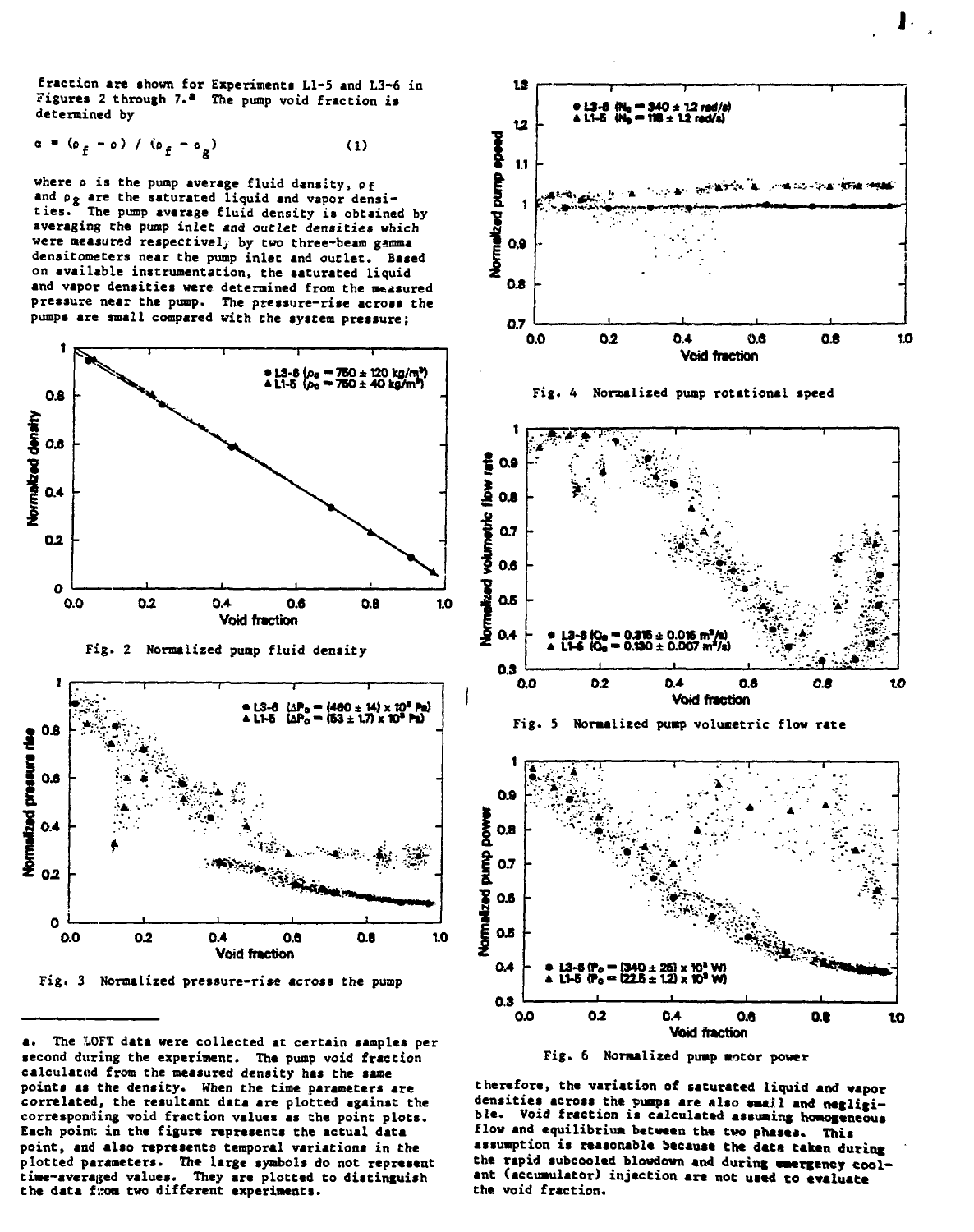fraction are shown for Experiments L1-5 and L3-6 in Figures 2 through 7.<sup>2</sup> The pump void fraction is **determined by**

$$
\alpha = (\rho_f - \rho) / (\rho_f - \rho_g)
$$
 (1)

**where o is the puap average fluid density, of** and p<sub>g</sub> are the saturated liquid and vapor densi-<br>ties. The nump average fluid density is obtaine The pump average fluid density is obtained by **averaging the pump inlet and outlet densities which were measured respectively by two three-beam gamma densitometers near the pump inlet and outlet. Based on available instrumentation, the saturated liquid and vapor densities were determined from the measured pressure near the pump. The pressure-rise across the pumps are small compared with Che system pressure;**









**a. The 'LOFT data were collected at certain samples per second during the experinent. The pump void fraction calculated from the measured density has the same points as the density. When the time parameters are correlated, the resultant data are plotted against the corresponding void fraction values as the point plots. Each point: in the figure represents the actual data point, and also represents temporal variations in the** plotted parameters. The large symbols do not represent **time-averaijed values. They are plotted to distinguish the data from two different experiments.**













**therefore, the variation of saturated liquid and vapor densities across the pumps are also smajl and negligible. Void fraction is calculated assuming homogeneous** flow and equilibrium between the two phases. This **assumption is reasonable because the data taken during the rapid subcooled blowdown and during emergency coolant (accumulator) injection are not used to evaluate the void fraction.**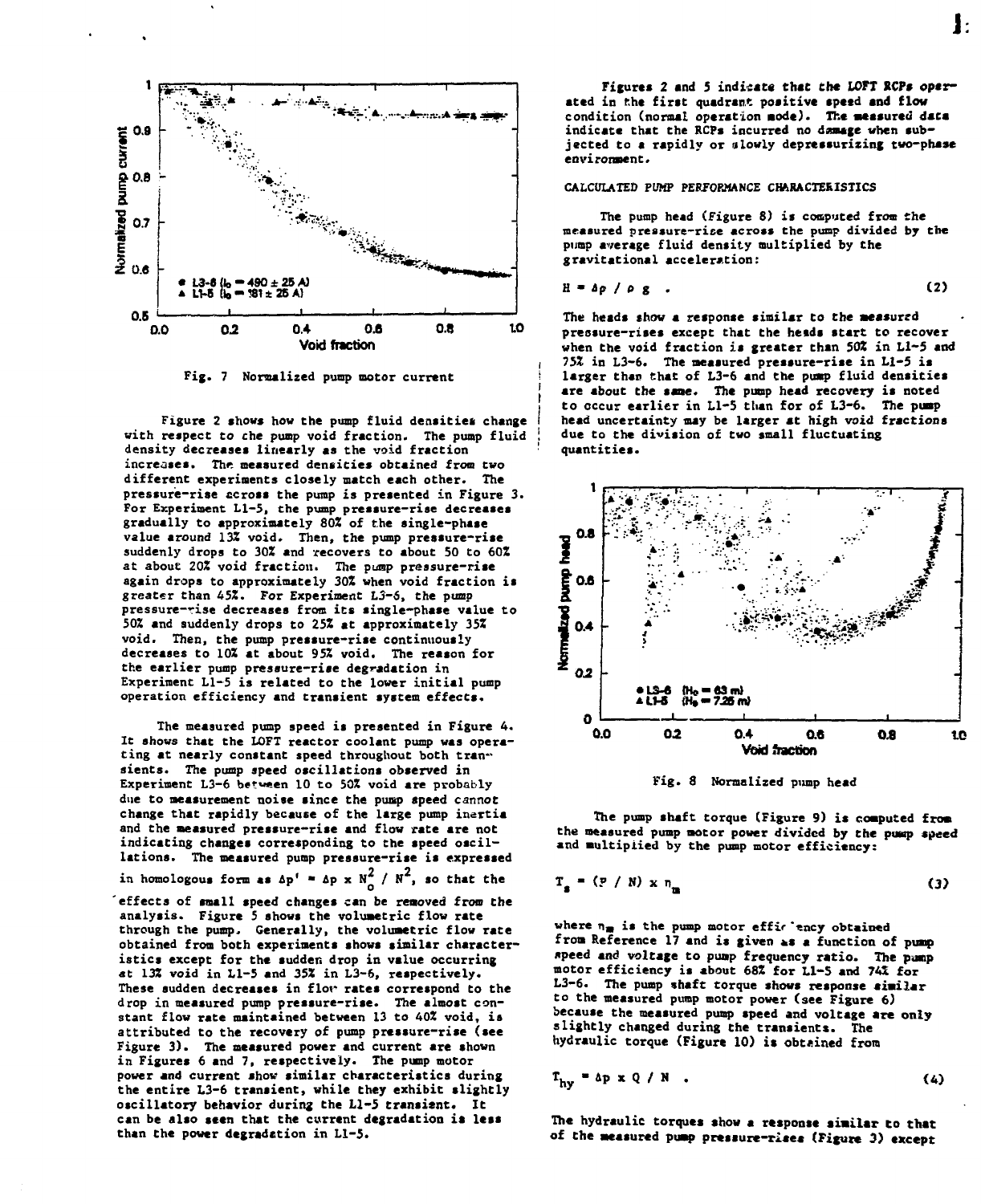

**Fig. 7 Normalized pump motor current**

**Figure 2 shows how the pump fluid densities change with respect to the pump void fraction. The pump fluid density decreases linearly as the void fraction increases. The measured densities obtained from two different experiments closely match each other. The pressure-rise ccross the pump is presented in Figure 3. For Experiment Ll-5, the pump pressure-rise decreases gradually to approximately 802 of the single-phase value around 132 void. Then, the pump pressure-rise suddenly drops to 30Z and recovers to about 50 to 60Z at about 202 void fraction. The pump pressure-rise again drops to approximately 30Z when void fraction is greater than 45%. For Experiment L3-S, the pump pressure-rise decreases from its single-phase value to 502 and suddenly drops to 252 at approximately 352 void. Then, the pump pressure-rise continuously decreases to 102 at about 952 void. The reason for the earlier pump pressure-rise degradation in Experiment Ll-5 is related to the lower initial pump operation efficiency and transient system effects.**

**The measured pump speed is presented in Figure 4. It shows that the LOFT reactor coolant pump was operating at nearly constant speed throughout both transients. The pump speed oscillations observed in Experiment L3-6 between 10 to SOX void are probably due to measurement noise since the pump speed cannot change that rapidly because of the large pump inertia and the measured pressure-rise and flow rate are not indicating changes corresponding to the speed oscillations. The measured pump pressure-rise is expressed 2 2 in homologous form as 4p' • Ip x N / tf , so that the 'effects of small speed changes can be removed from the analysis. Figure 5 shows the volumetric flow rate through the pump. Generally, the volumetric flow rate**

**obtained from both experiments shows similar characteristics except for the sudden drop in value occurring at 132 void in Ll-5 and 35Z in L3-6, respectively. These sudden decreases in flor rates correspond to the drop in measured pump pressure-rise. The almost constant flow rate maintained between 13 to 402 void, is attributed to the recovery of pump pressure-rise (see Figure 3). The measured power and current are shown in Figures 6 and 7, respectively. The pump motor power and current show similar characteristics during the entire L3-6 transient, while they exhibit slightly oscillatory behavior during the Ll-5 transient. It can be also seen that the current degradation it less than the power degradation in Ll-5.**

Ŀ

Figures 2 and 5 indicate that the LOFT RCPs oper**ated in the first quadrant positive speed and flow condition (normal operation mode). The measured data indicate that the KCPs incurred no dosage when subjected to a rapidly or a lowly depressurizing two-phase environment.**

## **CALCULATED PUMP PERFORMANCE CHARACTERISTICS**

**The pump head (Figure 8) is computed from the measured pressure-rise across the pump divided by the pump average fluid density multiplied by the gravitational acceleration:**

$$
H = \Delta p / \rho g . \qquad (2)
$$

**The heads chow a response similar to the aeasurcd pressure-rises except that the heids start to recover when the void fraction is greater than 50% in Ll-5 and 752 in L3-6. The measured pressure-rise in Ll-5 is larger than chat of L3-6 and the pump fluid densities are about the sane. The pump head recovery is noted to occur earlier in Ll-5 than for of L3-6. The pump head uncertainty may be larger at high void fractions due to the division of two small fluctuating quantities.**



**Fig. 8 normalized pump head**

**The pump shaft torque (Figure 9) is computed from the measured pump motor power divided by Che puap speed and multiplied by the pump motor efficiency:**

$$
T_{\rm s} = (P / N) \times n_{\rm m} \tag{3}
$$

where  $n_{\text{m}}$  is the pump motor effir 'ency obtained from Reference 17 and is given as a function of pump **ftpeed and voltage to pump frequency ratio. The punp motor efficiency is about 682 for Ll-S and 74X for L3-6. The pump shaft torque shows response similar to the measured pump motor power (see Figure 6) because the measured pump speed and voltage are only slightly changed during the transients. The hydraulic torque (Figure 10) is obtained from**

$$
T_{hy} = \Delta p \times Q / N \tag{4}
$$

**The hydraulic torques show a response similar to that of Che measured pump pressure-rises (Figure 3) except**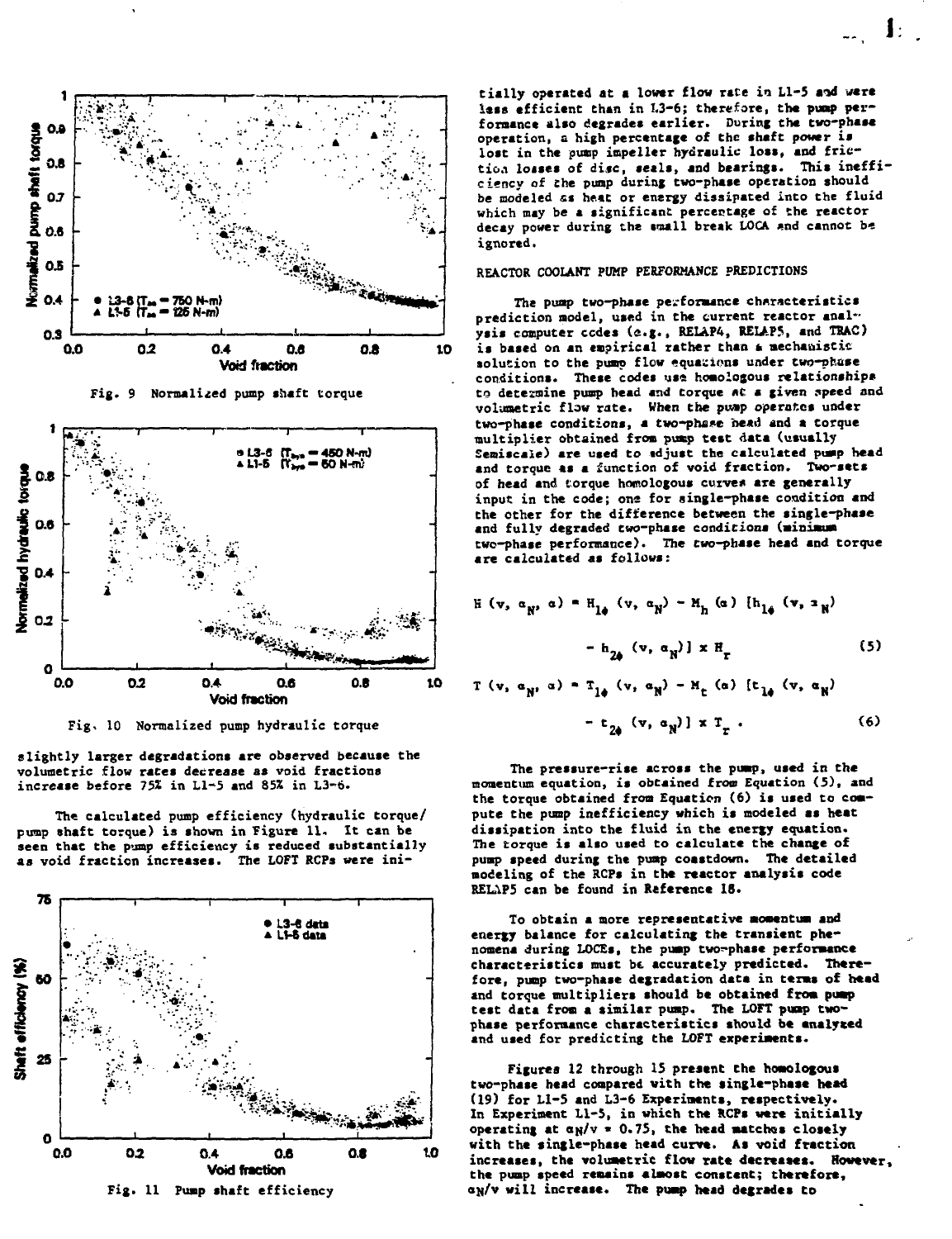

Fig. 9 Normalized pump shaft torque



Fig. 10 Normalized pump hydraulic torque

slightly larger degradations are observed because the volumetric flow rates decrease as void fractions increase before 75% in L1-5 and 85% in L3-6.

The calculated pump efficiency (hydraulic torque/ nump shaft torque) is shown in Figure 11. It can be seen that the pump efficiency is reduced substantially as void fraction increases. The LOFT RCPs were ini-



tially operated at a lower flow rate in L1-5 and were lass efficient than in L3-6; therefore, the pump performance also degrades earlier. During the two-phase operation, a high percentage of the shaft power is lost in the pump impeller hydraulic loss, and friction losses of disc, seals, and bearings. This inefficiency of the pump during two-phase operation should be modeled as heat or energy dissipated into the fluid which may be a significant percentage of the reactor decay power during the small break LOCA and cannot be ignored.

# REACTOR COOLANT PUMP PERFORMANCE PREDICTIONS

The pump two-phase performance characteristics prediction model, used in the current reactor analysis computer codes (e.g., RELAP4, RELAP5, and TRAC) is based on an empirical rather than a mechanistic solution to the pump flow equations under two-phase conditions. These codes use homologous relationships to determine pump head and torque at a given speed and volumetric flow rate. When the pump operates under two-phase conditions, a two-phase head and a torque multiplier obtained from pump test data (usually Semiscale) are used to adjust the calculated pump head and torque as a function of void fraction. Two-sets of head and torque homologous curves are generally input in the code; one for single-phase condition and the other for the difference between the single-phase and fully degraded two-phase conditions (minimum two-phase performance). The two-phase head and torque are calculated as follows:

$$
H(v, \alpha_N, \alpha) = H_{1\phi}(v, \alpha_N) - H_h(\alpha) \{h_{1\phi}(v, \alpha_N)\}
$$

$$
- h_{2\phi}(v, \alpha_N)] \times H_r
$$
 (5)

$$
\begin{aligned} \n\text{r} \ (\mathbf{v}, \ \mathbf{a}_N, \ \mathbf{a}) &= \mathbf{T}_{1\phi} \ (\mathbf{v}, \ \mathbf{a}_N) - \mathbf{H}_{\mathbf{t}} \ (\mathbf{a}) \ \text{[t}_{1\phi} \ (\mathbf{v}, \ \mathbf{a}_N) \\ \n&- \mathbf{t}_{2\phi} \ (\mathbf{v}, \ \mathbf{a}_N) \ \text{[x} \ \mathbf{T}_{\mathbf{r}} \ . \n\end{aligned} \tag{6}
$$

The pressure-rise across the pump, used in the momentum equation, is obtained from Equation (5), and the torque obtained from Equation (6) is used to compute the pump inefficiency which is modeled as heat dissipation into the fluid in the energy equation. The rorque is also used to calculate the change of pump speed during the pump coastdown. The detailed modeling of the RCPs in the reactor analysis code RELAP5 can be found in Reference 18.

To obtain a more representative momentum and energy balance for calculating the transient phenomena during LOCEs, the pump two-phase performance characteristics must be accurately predicted. Therefore, pump two-phase degradation data in terms of head and torque multipliers should be obtained from pump test data from a similar pump. The LOFT pump twophase performance characteristics should be analyzed and used for predicting the LOFT experiments.

Figures 12 through 15 present the homologous two-phase head compared with the single-phase head (19) for L1-5 and L3-6 Experiments, respectively. In Experiment L1-5, in which the RCPs were initially operating at  $\alpha_N/v = 0.75$ , the head matches closely with the single-phase head curve. As void fraction increases, the volumetric flow rate decreases. However, the pump speed remains almost constent; therefore, an/v will increase. The pump head degrades to

Ŀ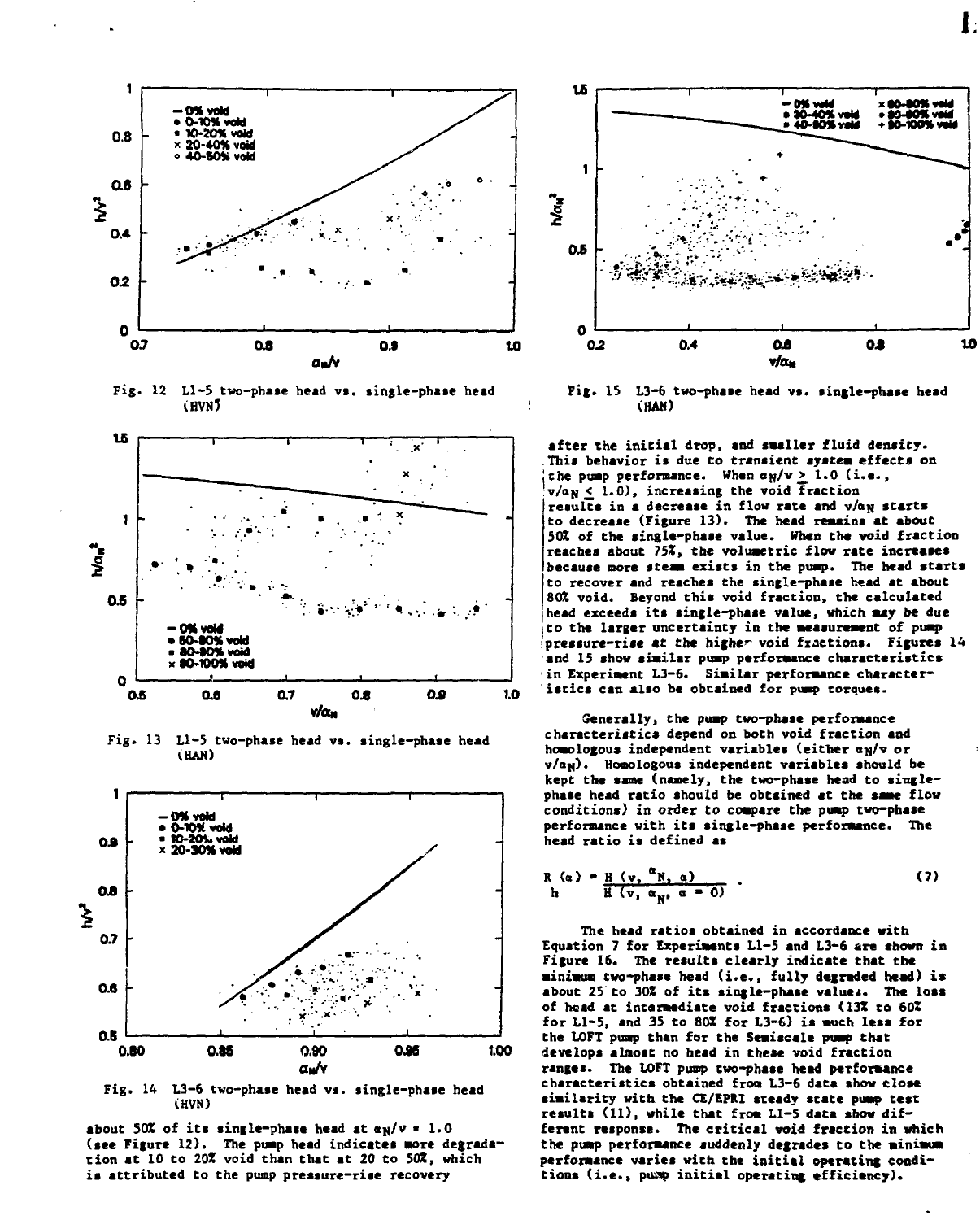

Fig. 12 L1-5 two-phase head vs. single-phase head **CHVN5** 



Fig. 13 L1-5 two-phase head vs. single-phase head (HAN)



Fig. 14 L3-6 two-phase head vs. single-phase head (HVN)

about 50% of its single-phase head at  $\alpha_N/v = 1.0$ (see Figure 12). The pump head indicates more degradation at 10 to 20% void than that at 20 to 50%, which is attributed to the pump pressure-rise recovery



Fig. 15 L3-6 two-phase head vs. single-phase head (HAN)

after the initial drop, and smaller fluid density. This behavior is due to transient system effects on the pump performance. When  $\alpha_N/v \geq 1.0$  (i.e.,  $v/a_N \leq 1.0$ , increasing the void Fraction results in a decrease in flow rate and v/ay starts to decrease (Figure 13). The head remains at about 50% of the single-phase value. When the void fraction reaches about 75%, the volumetric flow rate increases because more steam exists in the pump. The head starts to recover and reaches the single-phase head at about 80% void. Beyond this void fraction, the calculated head exceeds its single-phase value, which may be due to the larger uncertainty in the measurement of pump pressure-rise at the higher void fractions. Figures 14 and 15 show similar pump performance characteristics in Experiment L3-6. Similar performance characteristics can also be obtained for pump torques.

Generally, the pump two-phase performance characteristics depend on both void fraction and homologous independent variables (either an/v or  $v/a_N$ ). Homologous independent variables should be kept the same (namely, the two-phase head to singlephase head ratio should be obtained at the same flow conditions) in order to compare the pump two-phase performance with its single-phase performance. The head ratio is defined as

$$
R(\alpha) = \frac{H(\mathbf{v}, \alpha_{N}, \alpha)}{H(\mathbf{v}, \alpha_{N}, \alpha - 0)} \tag{7}
$$

The head ratios obtained in accordance with Equation 7 for Experiments L1-5 and L3-6 are shown in Figure 16. The results clearly indicate that the minimum two-phase head (i.e., fully degraded head) is about 25 to 30% of its single-phase values. The loss of head at intermediate void fractions (13% to 60% for L1-5, and 35 to 80% for L3-6) is much less for the LOFT pump than for the Semiscale pump that develops almost no head in these void fraction ranges. The LOFT pump two-phase head performance characteristics obtained from L3-6 data show close similarity with the CE/EPRI steady state pump test results (11), while that from L1-5 data show different response. The critical void fraction in which the pump performance suddenly degrades to the minimum performance varies with the initial operating conditions (i.e., pump initial operating efficiency).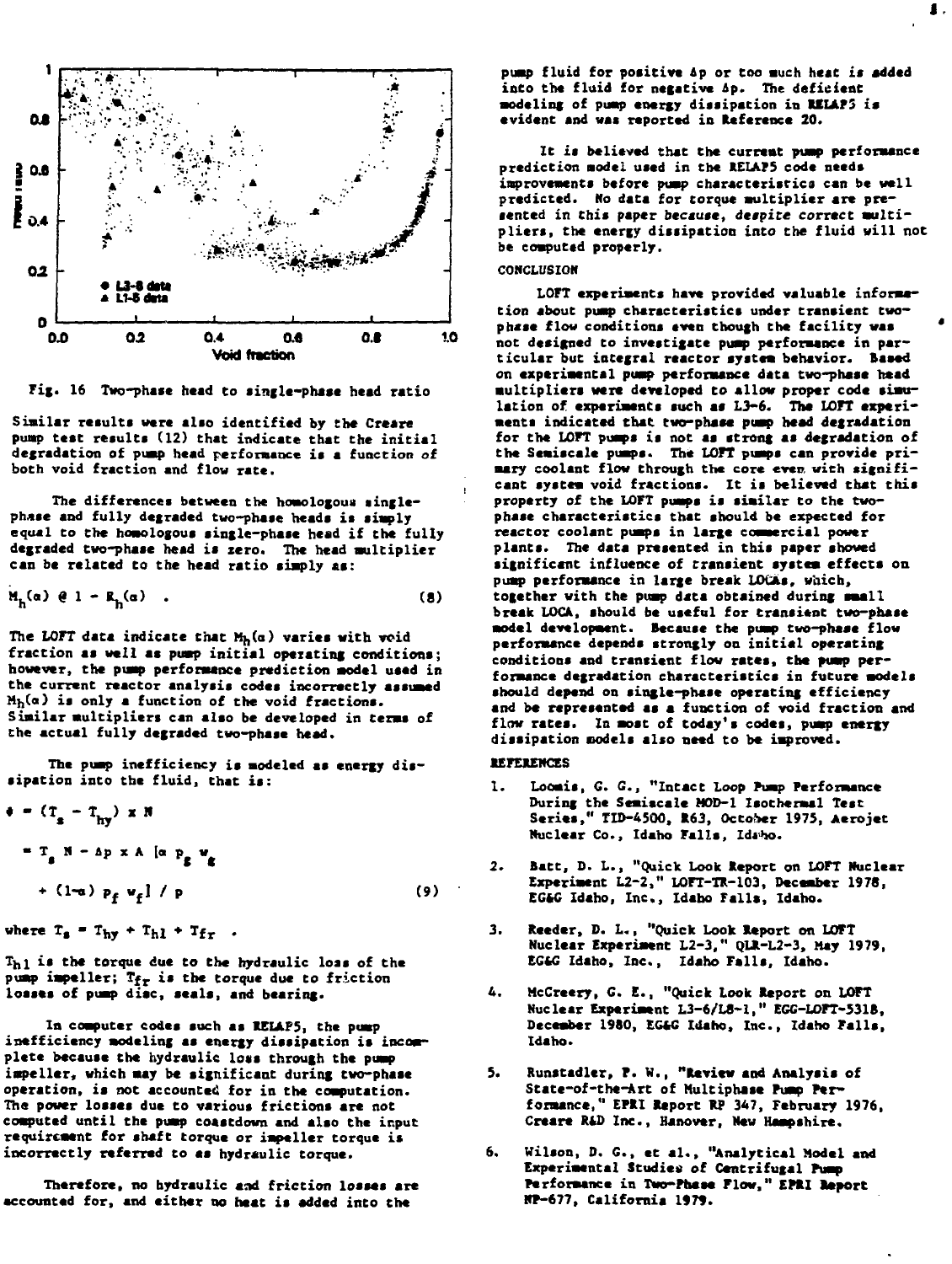

Fig. 16 Two-phase head to single-phase head ratio

**Similar results were alio identified by the Creare** pump test results (12) that indicate that the initial **degradation of pump head performance is a function of both void fraction and flow rate.**

The differences between the homologous single**phase and fully degraded two-phase heads is simply equal to the homologous single-phase head if the fully degraded two-phase head is zero. The head multiplier can be related to the head ratio simply as:**

$$
H_h(\alpha) \theta 1 - R_h(\alpha) \qquad (8)
$$

The LOFT data indicate that M<sub>h</sub>(a) varies with void **fraction as well as pump initial operating conditions; however, the pump performance prediction model used in the current reactor analysis codes incorrectly assumed M],(a) is only a function of the void fractions. Similar multipliers can also be developed in terms of the actual fully degraded two-phase head.**

**The pump inefficiency is modeled as energy dissipation into the fluid, that is:**

$$
P = (Ts - Thy) \times R
$$
  
= T<sub>s</sub> N - Ap × A [α p<sub>g</sub> w<sub>g</sub>  
+ (1-a) p<sub>f</sub> w<sub>f</sub>]/p (9)

 $v$ here  $T_s = T_{hv} + T_{hl} + T_{fr}$ .

**Thi is the torque due to the hydraulic loss of the pump impeller; Tfr is the torque due to friction losses of pump disc, seals, and bearing.**

**In computer codes such as REIAP5, the pump inefficiency modeling as energy dissipation is incomplete because the hydraulic loss through the pump impeller, which may be significant during two-phase operation, is not accounted for in the computation. The power losses due to various frictions are not computed until the pump coastdown and also the input requirement for shaft torque or impeller torque is** incorrectly referred to as hydraulic torque.

**Therefore, no hydraulic and friction losses are accounted for, and either no heat is added into the**

**pump fluid for positive ap or too much heat it added into the fluid for negative Ap. The deficient** modeling of pump energy dissipation in RELAP3 is **evident and was reported in Reference 20.**

**It is believed that the current pump performance prediction model used in the REIAP5 code needs improvements before pump characteristics can be well predicted. Ho data for torque multiplier are presented in this paper because, despite correct multipliers, the energy dissipation into the fluid will not be computed properly.**

## **CONCLUSION**

**LOFT experiments have provided valuable information about pump characteristics under transient twophase flow conditions even though the facility was not designed to investigate pump performance in particular but integral reactor system behavior. Based on experimental pump performance data two-phase head multipliers were developed to allow proper code simulation of experiments such as L3-6. The LOFT experiments indicated that two-phase pump bead degradation** for the LOFT pumps is not as strong as degradation of **the Semiscale pumps. The LOFT pumps can provide primary coolant flow through the core even with significant system void fractions. It is believed that this property of the LOFT pumps is similar to the twophase characteristics that should be expected for reactor coolant pumps in large commercial power plants. The data presented in this paper showed significant influence of transient system effects on pump performance in large break LOtAs, which, together with the pump data obtained during small break LOCA, should be useful for transient two-phase model development. Because the pump two-phase flow performance depends strongly on initial operating conditions and transient flow rates, the pump performance degradation characteristics in future models should depend on single-phase operating efficiency and be represented as a function of void fraction and flow rates. In most of today's codes, pump energy dissipation oodels also need to be improved.**

## **REFERENCES**

- **1. Loomis, G. C , "Intact Loop Pump Performance During the Semiscale MOD-1 Isothermal Test Series," TID-4500, 1163, October 1975, Aerojet** Nuclear Co., Idaho Falls, Idaho.
- **2. Batt, D. L., "Quick Look Report on LOFT Nuclear Experiment L2-2," LOFT-TR-103, December 1978, EGfcC Idaho, Inc., Idaho Falls, Idaho.**
- **3. Reeder, D. L., "Quick Look Report on LOFT Nuclear Experiment L2-3," QLR-L2-3, May 1979, EG6G Idaho, Inc., Idaho Falls, Idaho.**
- **4. McCreery, G. E., "Quick Look Report on LOFT Nuclear Experiment L3-6/L8-1," EGG-LOFT-531B,** December 1980, EG4G Idaho, Inc., Idaho Falls, **Idaho.**
- **5. Runstadler, P. W., "Review and Analysis of State-of-the-Art of Multiphase Pump Performance," EPRI Report RP 347, February 1976, Creare R\*D Inc., Hanover, New Hampshire.**
- **6. Wilson, D. G., et «1., "Analytical Model and Experimental Studies of Centrifugal Pump Performance in Two-Phase Flow," EPRI Report HP-677, California 1979.**